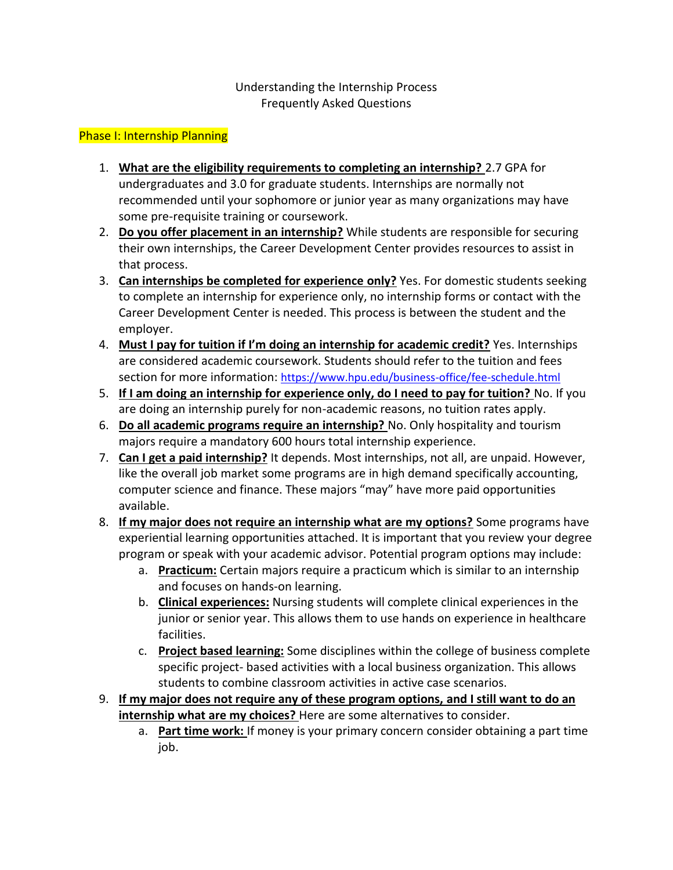### Understanding the Internship Process Frequently Asked Questions

### Phase I: Internship Planning

- 1. **What are the eligibility requirements to completing an internship?** 2.7 GPA for undergraduates and 3.0 for graduate students. Internships are normally not recommended until your sophomore or junior year as many organizations may have some pre-requisite training or coursework.
- 2. **Do you offer placement in an internship?** While students are responsible for securing their own internships, the Career Development Center provides resources to assist in that process.
- 3. **Can internships be completed for experience only?** Yes. For domestic students seeking to complete an internship for experience only, no internship forms or contact with the Career Development Center is needed. This process is between the student and the employer.
- 4. **Must I pay for tuition if I'm doing an internship for academic credit?** Yes. Internships are considered academic coursework. Students should refer to the tuition and fees section for more information: <https://www.hpu.edu/business-office/fee-schedule.html>
- 5. **If I am doing an internship for experience only, do I need to pay for tuition?** No. If you are doing an internship purely for non-academic reasons, no tuition rates apply.
- 6. **Do all academic programs require an internship?** No. Only hospitality and tourism majors require a mandatory 600 hours total internship experience.
- 7. **Can I get a paid internship?** It depends. Most internships, not all, are unpaid. However, like the overall job market some programs are in high demand specifically accounting, computer science and finance. These majors "may" have more paid opportunities available.
- 8. **If my major does not require an internship what are my options?** Some programs have experiential learning opportunities attached. It is important that you review your degree program or speak with your academic advisor. Potential program options may include:
	- a. **Practicum:** Certain majors require a practicum which is similar to an internship and focuses on hands-on learning.
	- b. **Clinical experiences:** Nursing students will complete clinical experiences in the junior or senior year. This allows them to use hands on experience in healthcare facilities.
	- c. **Project based learning:** Some disciplines within the college of business complete specific project- based activities with a local business organization. This allows students to combine classroom activities in active case scenarios.
- 9. **If my major does not require any of these program options, and I still want to do an internship what are my choices?** Here are some alternatives to consider.
	- a. **Part time work:** If money is your primary concern consider obtaining a part time job.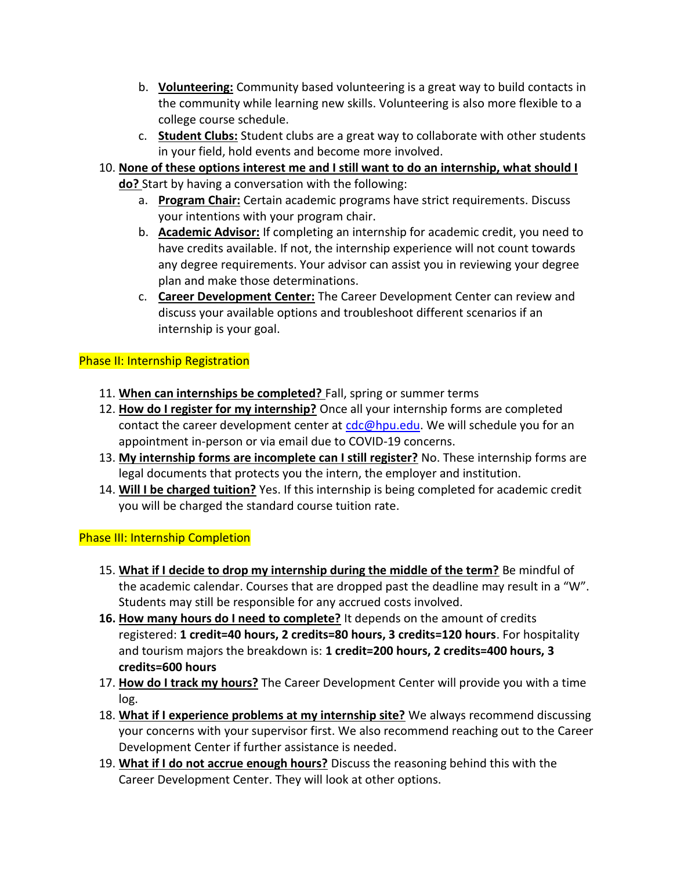- b. **Volunteering:** Community based volunteering is a great way to build contacts in the community while learning new skills. Volunteering is also more flexible to a college course schedule.
- c. **Student Clubs:** Student clubs are a great way to collaborate with other students in your field, hold events and become more involved.
- 10. **None of these options interest me and I still want to do an internship, what should I do?** Start by having a conversation with the following:
	- a. **Program Chair:** Certain academic programs have strict requirements. Discuss your intentions with your program chair.
	- b. **Academic Advisor:** If completing an internship for academic credit, you need to have credits available. If not, the internship experience will not count towards any degree requirements. Your advisor can assist you in reviewing your degree plan and make those determinations.
	- c. **Career Development Center:** The Career Development Center can review and discuss your available options and troubleshoot different scenarios if an internship is your goal.

# Phase II: Internship Registration

- 11. **When can internships be completed?** Fall, spring or summer terms
- 12. **How do I register for my internship?** Once all your internship forms are completed contact the career development center at  $cdc@hpu.edu$ . We will schedule you for an appointment in-person or via email due to COVID-19 concerns.
- 13. **My internship forms are incomplete can I still register?** No. These internship forms are legal documents that protects you the intern, the employer and institution.
- 14. **Will I be charged tuition?** Yes. If this internship is being completed for academic credit you will be charged the standard course tuition rate.

# Phase III: Internship Completion

- 15. **What if I decide to drop my internship during the middle of the term?** Be mindful of the academic calendar. Courses that are dropped past the deadline may result in a "W". Students may still be responsible for any accrued costs involved.
- **16. How many hours do I need to complete?** It depends on the amount of credits registered: **1 credit=40 hours, 2 credits=80 hours, 3 credits=120 hours**. For hospitality and tourism majors the breakdown is: **1 credit=200 hours, 2 credits=400 hours, 3 credits=600 hours**
- 17. **How do I track my hours?** The Career Development Center will provide you with a time log.
- 18. **What if I experience problems at my internship site?** We always recommend discussing your concerns with your supervisor first. We also recommend reaching out to the Career Development Center if further assistance is needed.
- 19. **What if I do not accrue enough hours?** Discuss the reasoning behind this with the Career Development Center. They will look at other options.